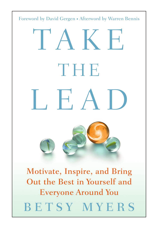Foreword by David Gergen . Afterword by Warren Bennis



Motivate, Inspire, and Bring Out the Best in Yourself and **Everyone Around You** BETSY MYERS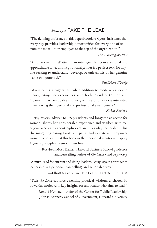## *Praise for* TAKE THE LEAD

"The defining difference in this superb book is Myers' insistence that every day provides leadership opportunities for every one of us from the most junior employee to the top of the organization."

#### —*The Washington Post*

"A home run. . . . Written in an intelligent but conversational and approachable tone, this inspirational primer is a perfect read for anyone seeking to understand, develop, or unleash his or her genuine leadership potential."

#### —*Publishers Weekly*

"Myers offers a cogent, articulate addition to modern leadership theory, citing her experiences with both President Clinton and Obama. . . . An enjoyable and insightful read for anyone interested in increasing their personal and professional effectiveness."

—*Kirkus Reviews*

"Betsy Myers, adviser to US presidents and longtime advocate for women, shares her considerable experience and wisdom with everyone who cares about high-level and everyday leadership. This charming, engrossing book will particularly excite and empower women, who will treat this book as their personal mentor and apply Myers's principles to enrich their lives."

—Rosabeth Moss Kanter, Harvard Business School professor and bestselling author of *Confidence* and *SuperCorp*

"A must-read for current and rising leaders. Betsy Myers approaches leadership in a personal, compelling, and actionable way."

—Elliott Masie, chair, The Learning Consortium

"*Take the Lead* captures essential, practical wisdom, anchored by powerful stories with key insights for any reader who aims to lead."

—Ronald Heifetz, founder of the Center for Public Leadership, John F. Kennedy School of Government, Harvard University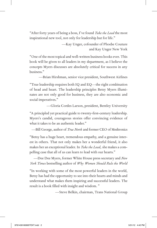"After forty years of being a boss, I've found *Take the Lead* the most inspirational new tool, not only for leadership but for life."

> —Kay Unger, cofounder of Phoebe Couture and Kay Unger New York

"One of the most topical and well-written business books ever. This book will be given to all leaders in my department, as I believe the concepts Myers discusses are absolutely critical for success in any business."

—Brian Hirshman, senior vice president, Southwest Airlines

"True leadership requires both IQ and EQ—the right combination of head and heart. The leadership principles Betsy Myers illuminates are not only good for business, they are also economic and social imperatives."

—Gloria Cordes Larson, president, Bentley University

"A principled yet practical guide to twenty-first-century leadership. Myers's candid, courageous stories offer convincing evidence of what it takes to be an authentic leader."

—Bill George, author of *True North* and former CEO of Medtronics

"Betsy has a huge heart, tremendous empathy, and a genuine interest in others. That not only makes her a wonderful friend, it also makes her an exceptional leader. In *Take the Lead,* she makes a compelling case that all of us can learn to lead with our hearts."

—Dee Dee Myers, former White House press secretary and *New York Times* bestselling author of *Why Women Should Rule the World*

"In working with some of the most powerful leaders in the world, Betsy has had the opportunity to see into their hearts and minds and understand what makes them inspiring and successful leaders. The result is a book filled with insight and wisdom. "

—Steve Belkin, chairman, Trans National Group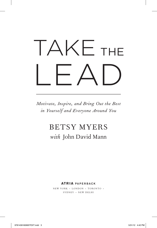

*Motivate, Inspire, and Bring Out the Best in Yourself and Everyone Around You*

# BETSY MYERS *with* John David Mann

**ATRIA** PAPERBACK

New York • London • Toronto • Sydney • new delhi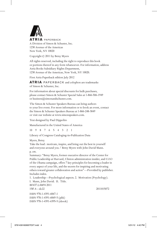

Copyright © 2011 by Betsy Myers

All rights reserved, including the right to reproduce this book or portions thereof in any form whatsoever. For information, address Atria Books Subsidiary Rights Department, 1230 Avenue of the Americas, New York, NY 10020.

First Atria Paperback edition July 2012

**ATRIA** PAPERBACK and colophon are trademarks of Simon & Schuster, Inc.

For information about special discounts for bulk purchases, please contact Simon & Schuster Special Sales at 1-866-506-1949 or business@simonandschuster.com.

The Simon & Schuster Speakers Bureau can bring authors to your live event. For more information or to book an event, contact the Simon & Schuster Speakers Bureau at 1-866-248-3049 or visit our website at www.simonspeakers.com.

Text designed by Paul Dippolito

Manufactured in the United States of America

10 9 8 7 6 5 4 3 2 1

Library of Congress Cataloging-in-Publication Data

Myers, Betsy.

Take the lead : motivate, inspire, and bring out the best in yourself and everyone around you / Betsy Myers with John David Mann. p. cm.

Summary: "Betsy Myers, former executive director of the Center for Public Leadership at Harvard, Clinton administration insider, and COO of the Obama campaign, offers 7 key principles for becoming a leader in every aspect of your life, and the secrets for inspiring and motivating others toward greater collaboration and action"—Provided by publisher. Includes index.

```
1. Leadership—Psychological aspects. 2. Motivation (Psychology).
I. Mann, John David. II. Title.
```

```
BF637.L4M94 2011 
158'.4—dc22 2011015072
ISBN 978-1-4391-6067-1 
ISBN 978-1-4391-6069-5 (pbk)
ISBN 978-1-4391-6395-5 (ebook)
```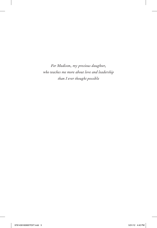*For Madison, my precious daughter, who teaches me more about love and leadership than I ever thought possible*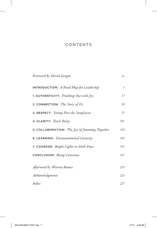## CONTENTS

| Foreword by David Gergen                         | ix           |
|--------------------------------------------------|--------------|
| <b>INTRODUCTION:</b> $A$ Road Map for Leadership | $\mathcal I$ |
| 1. AUTHENTICITY: Freaking Out with Joy           | 17           |
| 2. CONNECTION: The Story of Us                   | 39           |
| 3. RESPECT: Seeing Past the Sunglasses           | 71           |
| 4. CLARITY: Torch Relay                          | 101          |
| 5. COLLABORATION: The Joy of Jamming Together    | 133          |
| 6. LEARNING: Uncontaminated Curiosity            | 163          |
| 7. COURAGE: Bright Lights in Dark Days           | 191          |
| <b>CONCLUSION:</b> Being Conscious               | 211          |
| Afterword by Warren Bennis                       | 219          |
| Acknowledgments                                  | 223          |
| Index                                            | 227          |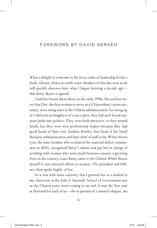#### Foreword by David Gergen

What a delight to welcome to the front ranks of leadership books a fresh, vibrant, down-to-earth voice. Readers of this fine new work will quickly discover here what I began learning a decade ago that Betsy Myers is special.

I had first heard about Betsy in the early 1990s. She and her sister Dee Dee, the first woman to serve as a US president's press secretary, were rising stars in the Clinton administration. Growing up in California as daughters of a navy pilot, they had each found separate paths into politics. They were both attractive, so they turned heads, but they soon won professional respect because they had good heads of their own. Erskine Bowles, then head of the Small Business Administration and later chief of staff at the White House (yes, the same Erskine who cochaired the national deficit commission in 2010), recognized Betsy's talents and put her in charge of working with women who were small business owners, a growing force in the country. Later Betsy came to the Clinton White House herself to run outreach efforts to women. The president and Hillary often spoke highly of her.

So it was with some curiosity that I greeted her as a student in my classroom at the John F. Kennedy School of Government just as the Clinton years were coming to an end. It was the first year at Harvard for each of us—she in pursuit of a master's degree, me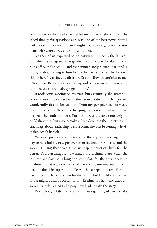as a rookie on the faculty. What hit me immediately was that she asked thoughtful questions and was one of the best networkers I had ever seen; her warmth and laughter were a magnet for the students who were always buzzing about her.

Neither of us expected to be entwined in each other's lives, but when Betsy agreed after graduation to rescue the alumni relations office at the school and then immediately turned it around, I thought about trying to lure her to the Center for Public Leadership, where I was faculty director. Erskine Bowles confided to me, "Never ask Betsy to do something unless you are sure you want it—because she will always get it done."

It took some wooing on my part, but eventually she agreed to serve as executive director of the center, a decision that proved wonderfully fateful for us both. From my perspective, she was a booster rocket for the center, bringing to it a zest and glamour that inspired the students there. For her, it was a chance not only to build the center but also to make a deep dive into the literature and teachings about leadership. Before long, she was becoming a leadership coach herself.

We were professional partners for three years, working every day to help build a new generation of leaders for America and the world. During those years, Betsy shaped countless lives for the better. You can imagine how mixed my feelings were when she told me one day that a long-shot candidate for the presidency—a freshman senator by the name of Barack Obama—wanted her to become the chief operating officer of his campaign team. Her departure would be a huge loss for the center, but I could also see that it just might be an opportunity of a lifetime for her. And after all, weren't we dedicated to helping new leaders take the stage?

Even though Obama was an underdog, I urged her to take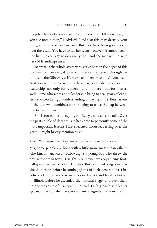the job. I had only one caveat: "You know that Hillary is likely to win the nomination," I advised, "and that this may destroy your bridges to her and her husband. But they have been good to you over the years. You have to tell her team—*before* it is announced." She had the courage to do exactly that, and she managed to keep her old friendships intact.

Betsy tells the whole story with verve here in the pages of this book—from her early days as a business entrepreneur through her time with the Clintons, at Harvard, and then on to the Obama team. And you will find packed into these pages valuable lessons about leadership, not only for women—and mothers—but for men as well. Some who write about leadership bring to bear years of experience; others bring an understanding of the literature. Betsy is one of the few who combines both, helping to close the gap between practice and theory.

She is too modest to say so, but Betsy also walks the talk. Over the past couple of decades, she has come to personify some of the most important lessons I have learned about leadership over the years. I might briefly mention three:

#### *First, Betsy illustrates the point that leaders are made, not born.*

Yes, some people are born with a little more magic than others. Abe Lincoln attracted a following as a young boy who threw the best wrestlers in town; Dwight Eisenhower was organizing football games when he was a kid, too. But both had long journeys ahead of them before becoming giants of their generations. Lincoln worked for years as an itinerant lawyer and local politician in Illinois before he ascended the national stage, and even then, no one was sure of his capacity to lead. Ike's growth as a leader spurted forward when he was on army assignment to Panama and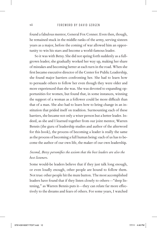found a fabulous mentor, General Fox Conner. Even then, though, he remained stuck in the middle ranks of the army, serving sixteen years as a major, before the coming of war allowed him an opportunity to win his stars and become a world-famous leader.

So it was with Betsy. She did not spring forth suddenly as a fullgrown leader; she gradually worked her way up, making her share of mistakes and becoming better at each turn in the road. When she first became executive director of the Center for Public Leadership, she found major barriers confronting her. She had to learn how to persuade others to follow her even though they were older and more experienced than she was. She was devoted to expanding opportunities for women, but found that, in some instances, winning the support of a woman as a follower could be more difficult than that of a man. She also had to learn how to bring change in an institution that prided itself on tradition. Surmounting each of these barriers, she became not only a wiser person but a better leader. Indeed, as she and I learned together from our joint mentor, Warren Bennis (the guru of leadership studies and author of the afterword for this book), the process of becoming a leader is really the same as the process of becoming a full human being: each of us has to become the author of our own life, the maker of our own leadership.

### *Second, Betsy personifies the axiom that the best leaders are also the best listeners.*

Some would-be leaders believe that if they just talk long enough, or even loudly enough, other people are bound to follow them. Not true: other people hit the mute button. The most accomplished leaders have found that if they listen closely to others—"deep listening," as Warren Bennis puts it—they can relate far more effectively to the dreams and fears of others. For some years, I watched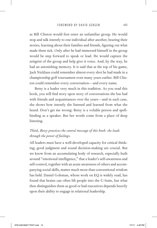as Bill Clinton would first enter an unfamiliar group. He would stop and talk intently to one individual after another, hearing their stories, learning about their families and friends, figuring out what made them tick. Only after he had immersed himself in the group would he step forward to speak or lead. He would capture the zeitgeist of the group and help give it voice. And, by the way, he had an astonishing memory. It is said that at the top of his game, Jack Nicklaus could remember almost every shot he had made in a championship golf tournament even many years earlier. Bill Clinton could remember every conversation—and every name.

Betsy is a leader very much in this tradition. As you read this book, you will find story upon story of conversations she has had with friends and acquaintances over the years—and in each case, she shows how intently she listened and learned from what she heard. Don't get me wrong: Betsy is a voluble person and spellbinding as a speaker. But her words come from a place of deep listening.

## *Third, Betsy practices the central message of this book: she leads through the power of feelings.*

All leaders must have a well-developed capacity for critical thinking; good judgment and sound decision-making are crucial. But we know from an accumulating body of research, especially built around "emotional intelligence," that a leader's self-awareness and self-control, together with an acute awareness of others and accompanying social skills, matter much more than conventional wisdom has held. Daniel Goleman, whose work on EQ is widely read, has found that brains can often lift people into the C-Suite, but what then distinguishes them as good or bad executives depends heavily upon their ability to engage in relational leadership.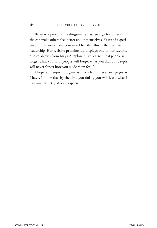Betsy is a person of feelings—she has feelings for others and she can make others feel better about themselves. Years of experience in the arena have convinced her that this is the best path to leadership. Her website prominently displays one of her favorite quotes, drawn from Maya Angelou: "I've learned that people will forget what you said, people will forget what you did, but people will never forget how you made them feel."

I hope you enjoy and gain as much from these next pages as I have. I know that by the time you finish, you will learn what I have—that Betsy Myers is special.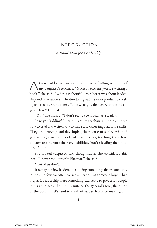## INTRODUCTION *A Road Map for Leadership*

At a recent back-to-school night, I was chatting with one of my daughter's teachers. "Madison told me you are writing a book," she said. "What's it about?" I told her it was about leadership and how successful leaders bring out the most productive feelings in those around them. "Like what you do here with the kids in your class," I added.

"Oh," she mused, "I don't really see myself as a leader."

"Are you kidding?" I said. "You're teaching all these children how to read and write, how to share and other important life skills. They are growing and developing their sense of self-worth, and you are right in the middle of that process, teaching them how to learn and nurture their own abilities. You're leading them into their future!"

She looked surprised and thoughtful as she considered this idea. "I never thought of it like that," she said.

Most of us don't.

It's easy to view leadership as being something that relates only to the elite few. So often we see a "leader" as someone larger than life, as if leadership were something exclusive to powerful people in distant places: the CEO's suite or the general's tent, the pulpit or the podium. We tend to think of leadership in terms of grand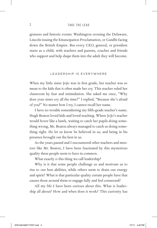#### 2 TAKE THE LEAD

gestures and historic events: Washington crossing the Delaware, Lincoln issuing the Emancipation Proclamation, or Gandhi facing down the British Empire. But every CEO, general, or president starts as a child, with teachers and parents, coaches and friends who support and help shape them into the adult they will become.

#### L E A D E R S H IP IS EV ERYWHERE

When my little sister JoJo was in first grade, her teacher was so mean to the kids that it often made her cry. This teacher ruled her classroom by fear and intimidation. She asked me once, "Why does your sister cry all the time?" I replied, "Because she's afraid of you!" No matter how I try, I cannot recall her name.

I have no trouble remembering my fifth-grade teacher's name. Hugh Beaton loved kids and loved teaching. Where JoJo's teacher would hover like a hawk, waiting to catch her pupils doing something wrong, Mr. Beaton always managed to catch us doing something right. He let us know he believed in us, and being in his presence brought out the best in us.

As the years passed and I encountered other teachers and mentors like Mr. Beaton, I have been fascinated by this mysterious quality these people seem to have in common.

What exactly *is* this thing we call leadership?

Why is it that some people challenge us and motivate us to rise to our best abilities, while others seem to drain our energy and spirit? What is that particular quality certain people have that causes those around them to engage fully and feel connected?

All my life I have been curious about this. What is leadership all about? How and when does it work? This curiosity has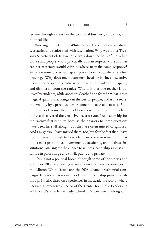led me through careers in the worlds of business, academia, and political life.

Working in the Clinton White House, I would observe cabinet secretaries and senior staff with fascination. Why was it that Treasury Secretary Bob Rubin could walk down the halls of the White House and people would practically bow in respect, while another cabinet secretary would elicit nowhere near the same response? Why are some places such great places to work, while others feel grueling? Why does one department head or business executive inspire her people to greatness, while another evokes only apathy and disinterest from the ranks? Why is it that one teacher is beloved by students, while another is loathed and feared? What is that magical quality that brings out the best in people, and is it a secret known only by a precious few or something available to us all?

This book is my effort to address these questions. I don't claim to have discovered the exclusive "secret sauce" of leadership for the twenty-first century, because the answers to these questions have been here all along—but they are often missed or ignored. And I might well have missed them, too, but for the fact that I have been fortunate enough to have a front-row seat in some of our nation's most prestigious governmental, academic, and business institutions, offering me the chance to witness leadership success and failure in places large and small, public and private.

This is not a political book, although some of the stories and examples I'll share with you are drawn from my experiences in the Clinton White House and the 2008 Obama presidential campaign. It is not an academic book about leadership principles, although I'll also draw on experiences in the academic world, where I served as executive director of the Center for Public Leadership at Harvard's John F. Kennedy School of Government. Along with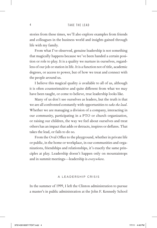stories from these times, we'll also explore examples from friends and colleagues in the business world and insights gained through life with my family.

From what I've observed, genuine leadership is not something that magically happens because we've been handed a certain position or role to play. It is a quality we nurture in ourselves, regardless of our job or station in life. It is a function not of title, academic degrees, or access to power, but of how we treat and connect with the people around us.

I believe this magical quality *is* available to all of us, although it is often counterintuitive and quite different from what we may have been taught, or come to believe, true leadership looks like.

Many of us don't see ourselves as leaders, but the truth is that we are all confronted constantly with opportunities to *take the lead.* Whether we are managing a division of a company, interacting in our community, participating in a PTO or church organization, or raising our children, the way we feel about ourselves and treat others has an impact that adds or detracts, inspires or deflates. That takes the lead, or fails to do so.

From the Oval Office to the playground, whether in private life or public, in the home or workplace, in our communities and organizations, friendships and relationships, it's exactly the same principles at play. Leadership doesn't happen only on mountaintops and in summit meetings—leadership is *everywhere.*

#### A LEADERSHIP CRISIS

In the summer of 1999, I left the Clinton administration to pursue a master's in public administration at the John F. Kennedy School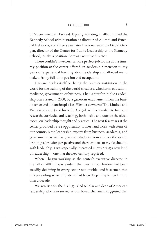#### IN TRODUCTION 5

of Government at Harvard. Upon graduating in 2000 I joined the Kennedy School administration as director of Alumni and External Relations, and three years later I was recruited by David Gergen, director of the Center for Public Leadership at the Kennedy School, to take a position there as executive director.

There couldn't have been a more perfect job for me at the time. My position at the center offered an academic dimension to my years of experiential learning about leadership and allowed me to make this my full-time passion and occupation.

Harvard prides itself on being the premier institution in the world for the training of the world's leaders, whether in education, medicine, government, or business. The Center for Public Leadership was created in 2000, by a generous endowment from the businessman and philanthropist Les Wexner (owner of The Limited and Victoria's Secret) and his wife, Abigail, with a mandate to focus on research, curricula, and teaching, both inside and outside the classroom, on leadership thought and practice. The next few years at the center provided a rare opportunity to meet and work with some of our country's top leadership experts from business, academia, and government, as well as graduate students from all over the world, bringing a broader perspective and sharper focus to my fascination with leadership. I was especially interested in exploring a new kind of leadership—one that the new century required.

When I began working as the center's executive director in the fall of 2003, it was evident that trust in our leaders had been steadily declining in every sector nationwide, and it seemed that this prevailing sense of distrust had been deepening for well more than a decade.

Warren Bennis, the distinguished scholar and dean of American leadership who also served as our board chairman, suggested that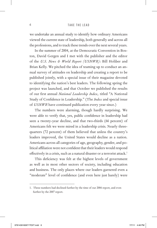#### 6 TAKE THE LEAD

we undertake an annual study to identify how ordinary Americans viewed the current state of leadership, both generally and across all the professions, and to track these trends over the next several years.

In the summer of 2004, at the Democratic Convention in Boston, David Gergen and I met with the publisher and the editor of the *U.S. News & World Report (USNWR)*: Bill Holiber and Brian Kelly. We pitched the idea of teaming up to conduct an annual survey of attitudes on leadership and creating a report to be published jointly, with a special issue of their magazine devoted to identifying the nation's best leaders. The following spring the project was launched, and that October we published the results of our first annual *National Leadership Index,* titled "A National Study of Confidence in Leadership." (The *Index* and special issue of *USNWR* have continued publication every year since.)

The numbers were alarming, though hardly surprising. We were able to verify that, yes, public confidence in leadership had seen a twenty-year decline, and that two-thirds (66 percent) of Americans felt we were mired in a leadership crisis. Nearly threequarters (72 percent) of them believed that unless the country's leaders improved, the United States would decline as a nation. Americans across all categories of age, geography, gender, and political affiliation were not confident that their leaders would respond effectively in a crisis, such as a natural disaster or a terrorist attack.<sup>1</sup>

This deficiency was felt at the highest levels of government as well as in most other sectors of society, including education and business. The only places where our leaders garnered even a "moderate" level of confidence (and even here just barely) were

<sup>1.</sup> These numbers had declined further by the time of our 2006 report, and even further by the 2007 report.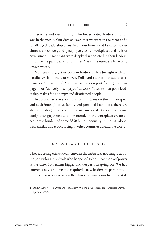#### IN TRODUCTION 7

in medicine and our military. The lowest-rated leadership of all was in the media. Our data showed that we were in the throes of a full-fledged leadership crisis. From our homes and families, to our churches, mosques, and synagogues, to our workplaces and halls of government, Americans were deeply disappointed in their leaders.

Since the publication of our first *Index,* the numbers have only grown worse.

Not surprisingly, this crisis in leadership has brought with it a parallel crisis in the workforce. Polls and studies indicate that as many as 70 percent of American workers report feeling "not engaged" or "actively disengaged" at work. It seems that poor leadership makes for unhappy and disaffected people.

In addition to the enormous toll this takes on the human spirit and such intangibles as family and personal happiness, there are also mind-boggling economic costs involved. According to one study, disengagement and low morale in the workplace create an economic burden of some \$350 billion annually in the US alone, with similar impact occurring in other countries around the world.<sup>2</sup>

#### A NEW ERA OF LEADERSHIP

The leadership crisis documented in the *Index* was not simply about the particular individuals who happened to be in positions of power at the time. Something bigger and deeper was going on. We had entered a new era, one that required a new leadership paradigm.

There was a time when the classic command-and-control style

<sup>2.</sup> Robin Athey, "It's 2008: Do You Know Where Your Talent Is?" Deloitte Development, 2004.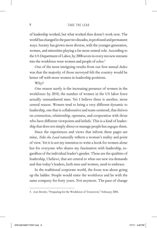of leadership worked, but what worked then doesn't work now. The world has changed in the past two decades, in profound and permanent ways. Society has grown more diverse, with the younger generation, women, and minorities playing a far more central role. According to the US Department of Labor, by 2008 seven in every ten new entrants into the workforce were women and people of color.<sup>3</sup>

One of the most intriguing results from our first annual *Index* was that the majority of those surveyed felt the country would be better off with more women in leadership positions.

Why?

One reason surely is the increasing presence of women in the workforce: by 2010, the number of women in the US labor force actually outnumbered men. Yet I believe there is another, more central reason. Women tend to bring a very different dynamic to leadership, one that is collaborative and team-centered, that thrives on connection, relationship, openness, and cooperation with those who have different viewpoints and beliefs. This is a kind of leadership that does not simply direct or manage people but *engages* them.

Since the experiences and views that inform these pages are mine, *Take the Lead* naturally reflects a woman's reality and point of view. Yet it is not my intention to write a book for women alone but for everyone who shares my fascination with leadership, regardless of the individual leader's gender. These are the qualities of leadership, I believe, that are central to what our new era demands and that today's leaders, both men and women, need to embrace.

In the traditional corporate world, the focus was about going up the ladder. People would enter the workforce and be with the same company for forty years. Not anymore. The pace of change

<sup>3.</sup> Aon Hewitt, "Preparing for the Workforce of Tomorrow," February 2004.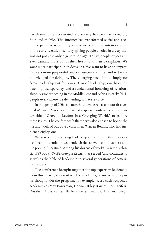#### IN TRODUCTION 9

has dramatically accelerated and society has become incredibly fluid and mobile. The Internet has transformed social and economic patterns as radically as electricity and the automobile did in the early twentieth century, giving people a voice in a way that was not possible only a generation ago. Today, people expect and even demand more out of their lives—and their workplaces. We want more participation in decisions. We want to have an impact, to live a more purposeful and values-centered life, and to be acknowledged for doing so. The emerging need is not simply for *better* leadership but for a new *kind* of leadership, one based on listening, transparency, and a fundamental honoring of relationships. As we are seeing in the Middle East and Africa in early 2011, people everywhere are demanding to have a voice.

In the spring of 2006, six months after the release of our first annual *National Index,* we convened a special conference at the center, titled "Growing Leaders in a Changing World," to explore these issues. The conference's theme was also chosen to honor the life and work of our board chairman, Warren Bennis, who had just turned eighty-one.

Warren is unique among leadership authorities in that his work has been influential in academic circles as well as in business and the popular literature. Among his dozens of works, Warren's classic 1989 book, *On Becoming a Leader,* has served (and continues to serve) as the bible of leadership to several generations of American leaders.

The conference brought together the top experts in leadership from three vastly different worlds: academia, business, and popular thought. On the program, for example, were such respected academics as Max Bazerman, Hannah Riley Bowles, Ron Heifetz, Rosabeth Moss Kanter, Barbara Kellerman, Rod Kramer, Joseph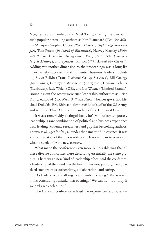#### 10 TAKE THE LEAD

Nye, Jeffrey Sonnenfeld, and Noel Tichy, sharing the dais with such popular bestselling authors as Ken Blanchard (*The One Minute Manager*), Stephen Covey (*The 7 Habits of Highly Effective People*), Tom Peters (*In Search of Excellence*), Harvey Mackay (*Swim with the Sharks Without Being Eaten Alive*), John Kotter (*Our Iceberg Is Melting*), and Spencer Johnson (*Who Moved My Cheese?*). Adding yet another dimension to the proceedings was a long list of extremely successful and influential business leaders, including Steve Belkin (Trans National Group Services), Bill George (Medtronic), Georgette Mosbacher (Borghese), Howard Schultz (Starbucks), Jack Welch (GE), and Les Wexner (Limited Brands). Rounding out the roster were such leadership authorities as Brian Duffy, editor of *U.S. News & World Report,* former governor Michael Dukakis, Eric Shinseki, former chief of staff of the US Army, and Admiral Thad Allen, commandant of the US Coast Guard.

It was a remarkably distinguished who's who of contemporary leadership, a rare combination of political and business experience with leading academic researchers and popular bestselling authors, known as *thought leaders,* all under the same roof. In essence, it was a collective state of the union address on leadership in America and what is needed for the new century.

What made the conference even more remarkable was that all these diverse authorities were describing essentially the same picture. There was a new kind of leadership afoot, said the conferees, a leadership of the mind *and* the heart. This new paradigm emphasized such traits as authenticity, collaboration, and caring.

"As leaders, we are all angels with only one wing," Warren said in his concluding remarks that evening. "We can fly—but only if we embrace each other."

The Harvard conference echoed the experiences and observa-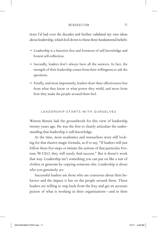#### IN TRODUCTION 11

tions I'd had over the decades and further validated my own ideas about leadership, which boil down to these three fundamental beliefs:

- • Leadership is a function first and foremost of self-knowledge and honest self-reflection.
- • Secondly, leaders don't always have all the answers. In fact, the strength of their leadership comes from their willingness to ask the questions.
- Finally, and most importantly, leaders draw their effectiveness less from what they know or what power they wield, and more from how they make the people around them feel.

#### LEADERSHIP STARTS WITH OURSELVES

Warren Bennis laid the groundwork for this view of leadership twenty years ago. He was the first to clearly articulate the understanding that leadership *is* self-knowledge.

At the time, most academics and researchers were still looking for that elusive magic formula, as if to say, "If leaders will just follow these five steps or imitate the actions of that particular Fortune 50 CEO, they will surely find success." But it doesn't work that way. Leadership isn't something you can put on like a suit of clothes or generate by copying someone else. Leadership is about who you genuinely *are.*

Successful leaders are those who are conscious about their behavior and the impact it has on the people around them. These leaders are willing to step back from the fray and get an accurate picture of what is working in their organizations—and in their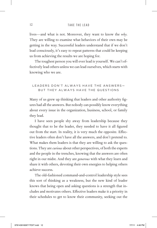lives—and what is not. Moreover, they want to know the *why.* They are willing to examine what behaviors of their own may be getting in the way. Successful leaders understand that if we don't lead consciously, it's easy to repeat patterns that could be keeping us from achieving the results we are hoping for.

The toughest person you will ever lead is yourself. We can't effectively lead others unless we can lead ourselves, which starts with knowing who we are.

#### LEADERS DON'T ALWAYS HAVE THE ANSWERS-BUT THEY ALWAYS HAVE THE QUESTIONS

Many of us grew up thinking that leaders and other authority figures had all the answers. But nobody can possibly know everything about every issue in the organization, business, school, or family they lead.

I have seen people shy away from leadership because they thought that to be the leader, they needed to have it all figured out from the start. In reality, it is very much the opposite. Effective leaders often don't have all the answers, and don't pretend to. What makes them leaders is that they are willing to ask the questions. They are *curious* about other perspectives, of both the experts and the people in the trenches, knowing that the answers are often right in our midst. And they are *generous* with what they learn and share it with others, devoting their own energies to helping others achieve success.

The old-fashioned command-and-control leadership style sees this sort of thinking as a weakness, but the new kind of leader knows that being open and asking questions is a strength that includes and motivates others. Effective leaders make it a priority in their schedules to get to know their community, seeking out the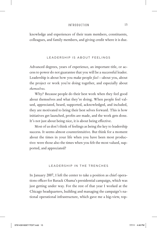knowledge and experiences of their team members, constituents, colleagues, and family members, and giving credit where it is due.

#### L E A D E R S H IP IS A B O UT FEEL IN G S

Advanced degrees, years of experience, an important title, or access to power do not guarantee that you will be a successful leader. Leadership is about how you make people *feel*—about you, about the project or work you're doing together, and especially about *themselves.*

Why? Because people do their best work when they feel good about themselves and what they're doing. When people feel valued, appreciated, heard, supported, acknowledged, and included, they are motivated to bring their best selves forward. This is how initiatives get launched, profits are made, and the work gets done. It's not just about being nice, it is about being effective.

Most of us don't think of feelings as being the key to leadership success. It seems almost counterintuitive. But think for a moment about the times in your life when you have been most productive: were those also the times when you felt the most valued, supported, and appreciated?

#### LEADERSHIP IN THE TRENCHES

In January 2007, I left the center to take a position as chief operations officer for Barack Obama's presidential campaign, which was just getting under way. For the rest of that year I worked at the Chicago headquarters, building and managing the campaign's national operational infrastructure, which gave me a big-view, top-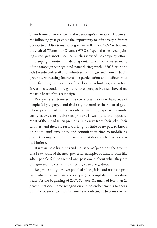#### 14 TAKE THE LEAD

down frame of reference for the campaign's operation. However, the following year gave me the opportunity to gain a very different perspective. After transitioning in late 2007 from COO to become the chair of Women for Obama (WFO), I spent the next year gaining a very grassroots, in-the-trenches view of the campaign effort.

Sleeping in motels and driving rental cars, I crisscrossed many of the campaign battleground states during much of 2008, working side by side with staff and volunteers of all ages and from all backgrounds, witnessing firsthand the participation and dedication of these field organizers and staffers, donors, volunteers, and voters. It was this second, more ground-level perspective that showed me the true heart of this campaign.

Everywhere I traveled, the scene was the same: hundreds of people fully engaged and tirelessly devoted to their shared goal. These people had not been enticed with big expense accounts, cushy salaries, or public recognition. It was quite the opposite. Most of them had taken precious time away from their jobs, their families, and their careers, working for little or no pay, to knock on doors, stuff envelopes, and commit their time to mobilizing perfect strangers, often in towns and states they had never visited before.

It was in these hundreds and thousands of people on the ground that I saw some of the most powerful examples of what it looks like when people feel connected and passionate about what they are doing—and the results those feelings can bring about.

Regardless of your own political views, it is hard not to appreciate what this candidate and campaign accomplished in two short years. At the beginning of 2007, Senator Obama had less than 20 percent national name recognition and no endorsements to speak of—and twenty-two months later he was elected to become the na-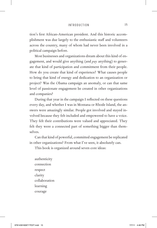#### IN TRODUCTION 15

tion's first African-American president. And this historic accomplishment was due largely to the enthusiastic staff and volunteers across the country, many of whom had never been involved in a political campaign before.

Most businesses and organizations dream about this kind of engagement, and would give anything (and *pay* anything) to generate that kind of participation and commitment from their people. How do you create that kind of experience? What causes people to bring that kind of energy and dedication to an organization or project? Was the Obama campaign an anomaly, or can that same level of passionate engagement be created in other organizations and companies?

During that year in the campaign I reflected on these questions every day, and whether I was in Montana or Rhode Island, the answers were amazingly similar. People got involved and stayed involved because they felt included and empowered to have a voice. They felt their contributions were valued and appreciated. They felt they were a connected part of something bigger than themselves.

Can that kind of powerful, committed engagement be replicated in other organizations? From what I've seen, it absolutely can.

This book is organized around seven core ideas:

authenticity connection respect clarity collaboration learning courage